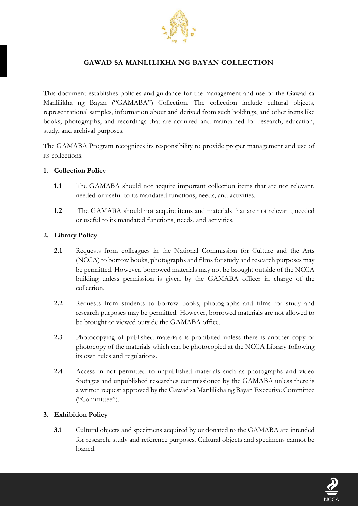

# **GAWAD SA MANLILIKHA NG BAYAN COLLECTION**

This document establishes policies and guidance for the management and use of the Gawad sa Manlilikha ng Bayan ("GAMABA") Collection. The collection include cultural objects, representational samples, information about and derived from such holdings, and other items like books, photographs, and recordings that are acquired and maintained for research, education, study, and archival purposes.

The GAMABA Program recognizes its responsibility to provide proper management and use of its collections.

## **1. Collection Policy**

- **1.1** The GAMABA should not acquire important collection items that are not relevant, needed or useful to its mandated functions, needs, and activities.
- **1.2** The GAMABA should not acquire items and materials that are not relevant, needed or useful to its mandated functions, needs, and activities.

#### **2. Library Policy**

- **2.1** Requests from colleagues in the National Commission for Culture and the Arts (NCCA) to borrow books, photographs and films for study and research purposes may be permitted. However, borrowed materials may not be brought outside of the NCCA building unless permission is given by the GAMABA officer in charge of the collection.
- **2.2** Requests from students to borrow books, photographs and films for study and research purposes may be permitted. However, borrowed materials are not allowed to be brought or viewed outside the GAMABA office.
- **2.3** Photocopying of published materials is prohibited unless there is another copy or photocopy of the materials which can be photocopied at the NCCA Library following its own rules and regulations.
- **2.4** Access in not permitted to unpublished materials such as photographs and video footages and unpublished researches commissioned by the GAMABA unless there is a written request approved by the Gawad sa Manlilikha ng Bayan Executive Committee ("Committee").

## **3. Exhibition Policy**

**3.1** Cultural objects and specimens acquired by or donated to the GAMABA are intended for research, study and reference purposes. Cultural objects and specimens cannot be loaned.

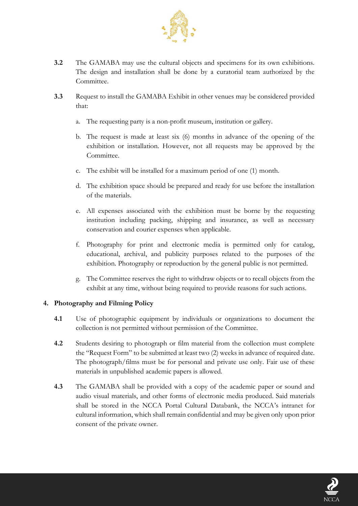

- **3.2** The GAMABA may use the cultural objects and specimens for its own exhibitions. The design and installation shall be done by a curatorial team authorized by the Committee.
- **3.3** Request to install the GAMABA Exhibit in other venues may be considered provided that:
	- a. The requesting party is a non-profit museum, institution or gallery.
	- b. The request is made at least six (6) months in advance of the opening of the exhibition or installation. However, not all requests may be approved by the Committee.
	- c. The exhibit will be installed for a maximum period of one (1) month.
	- d. The exhibition space should be prepared and ready for use before the installation of the materials.
	- e. All expenses associated with the exhibition must be borne by the requesting institution including packing, shipping and insurance, as well as necessary conservation and courier expenses when applicable.
	- f. Photography for print and electronic media is permitted only for catalog, educational, archival, and publicity purposes related to the purposes of the exhibition. Photography or reproduction by the general public is not permitted.
	- g. The Committee reserves the right to withdraw objects or to recall objects from the exhibit at any time, without being required to provide reasons for such actions.

# **4. Photography and Filming Policy**

- **4.1** Use of photographic equipment by individuals or organizations to document the collection is not permitted without permission of the Committee.
- **4.2** Students desiring to photograph or film material from the collection must complete the "Request Form" to be submitted at least two (2) weeks in advance of required date. The photograph/films must be for personal and private use only. Fair use of these materials in unpublished academic papers is allowed.
- **4.3** The GAMABA shall be provided with a copy of the academic paper or sound and audio visual materials, and other forms of electronic media produced. Said materials shall be stored in the NCCA Portal Cultural Databank, the NCCA's intranet for cultural information, which shall remain confidential and may be given only upon prior consent of the private owner.